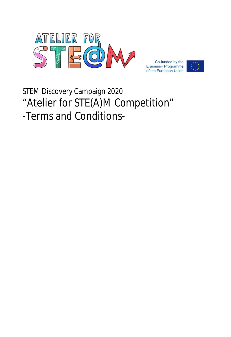

Co-funded by the Erasmus+ Programme of the European Union



# STEM Discovery Campaign 2020 "Atelier for STE(A)M Competition" -Terms and Conditions-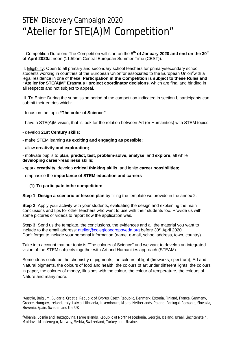## STEM Discovery Campaign 2020 "Atelier for STE(A)M Competition"

I. Competition Duration**:** The Competition will start on the 8 **th of January 2020 and end on the 30th of April 2020**at noon (11:59am Central European Summer Time (CEST)).

II. Eligibility: Open to all primary and secondary school teachers for primary/secondary school students working in countries of the European Union<sup>1</sup>or associated to the European Union<sup>2</sup>with a legal residence in one of these. **Participation in the Competition is subject to these Rules and "Atelier for STE(A)M" Erasmus+ project coordinator decisions**, which are final and binding in all respects and not subject to appeal.

III. To Enter: During the submission period of the competition indicated in section I, participants can submit their entries which:

- focus on the topic **"The color of Science"**

- have a STE(A)M vision, that is look for the relation between Art (or Humanities) with STEM topics.

- develop **21st Century skills;**

 $\overline{a}$ 

- make STEM learning **as exciting and engaging as possible;**
- allow **creativity and exploration;**

- motivate pupils to **plan, predict, test, problem-solve, analyse**, and **explore**, all while **developing career-readiness skills;**

- spark **creativity**, develop **critical thinking skills**, and ignite **career possibilities;**

- emphasise the **importance of STEM education and careers** 

**(1) To participate inthe competition:**

**Step 1: Design a scenario or lesson plan** by filling the template we provide in the annex 2.

**Step 2:** Apply your activity with your students, evaluating the design and explaining the main conclusions and tips for other teachers who want to use with their students too. Provide us with some pictures or videos to report how the application was.

**Step 3:** Send us the template, the conclusions, the evidences and all the material you want to include to the email address:  $\frac{\text{atelier@coleqropoveda.org}}{\text{perp}}$  before 30<sup>th</sup> April 2020. Don't forget to include your personal information (name, e-mail, school address, town, country)

Take into account that our topic is "The colours of Science" and we want to develop an integrated vision of the STEM subjects together with Art and Humanities approach (STEAM).

Some ideas could be the chemistry of pigments, the colours of light (fireworks, spectrum), Art and Natural pigments, the colours of food and health, the colours of art under different lights, the colours in paper, the colours of money, illusions with the colour, the colour of temperature, the colours of Nature and many more.

<sup>&</sup>lt;sup>1</sup>Austria, Belgium, Bulgaria, Croatia, Republic of Cyprus, Czech Republic, Denmark, Estonia, Finland, France, Germany, Greece, Hungary, Ireland, Italy, Latvia, Lithuania, Luxembourg, Malta, Netherlands, Poland, Portugal, Romania, Slovakia, Slovenia, Spain, Sweden and the UK.

 $^2$ Albania, Bosnia and Herzegovina, Faroe Islands, Republic of North Macedonia, Georgia, Iceland, Israel, Liechtenstein, Moldova, Montenegro, Norway, Serbia, Switzerland, Turkey and Ukraine.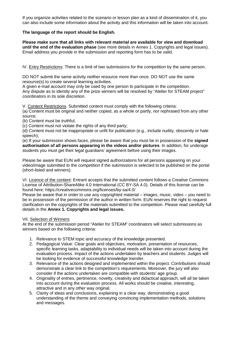If you organize activities related to the scenario or lesson plan as a kind of dissemination of it, you can also include some information about the activity and this information will be taken into account.

### **The language of the report should be English.**

**Please make sure that all links with relevant material are available for view and download until the end of the evaluation phase** (see more details in Annex 1. Copyrights and legal issues). Email address you provide in the submission and reporting form has to be valid.

IV. Entry Restrictions: There is a limit of two submissions for the competition by the same person.

DO NOT submit the same activity neither resource more than once. DO NOT use the same resource(s) to create several learning activities.

A given e-mail account may only be used by one person to participate in the competition. Any dispute as to identity any of the prize winners will be resolved by "Atelier for STEAM project" coordinators in its sole discretion.

V. Content Restrictions. Submitted content must comply with the following criteria:

(a) Content must be original and neither copied, as a whole or partly, nor rephrased from any other source;

(b) Content must be truthful;

(c) Content must not violate the rights of any third party;

(d) Content must not be inappropriate or unfit for publication (e.g., include nudity, obscenity or hate speech);

(e) If your submission shows faces, please be aware that you must be in possession of the **signed authorisation of all persons appearing in the videos and/or pictures**. In addition, for underage students you must get their legal guardians' agreement before using their images.

Please be aware that EUN will request signed authorizations for all persons appearing on your video/image submitted to the competition if the submission is selected to be published on the portal (short-listed and winners).

VI. Licence of the content: Entrant accepts that the submitted content follows a Creative Commons License of Attribution-ShareAlike 4.0 International (CC BY-SA 4.0). Details of this license can be found here: <https://creativecommons.org/licenses/by-sa/4.0/>

Please be aware that in order to use any copyrighted material – images, music, video – you need to be in possession of the permission of the author in written form. EUN reserves the right to request clarification on the copyrights of the materials submitted to the competition. Please read carefully full details in the **Annex 1. Copyrights and legal issues.** 

### VII. Selection of Winners:

At the end of the submission period "Atelier for STEAM" coordinators will select submissions as winners based on the following criteria:

- 1. Relevance to STEM topic and accuracy of the knowledge presented.
- 2. Pedagogical Value: Clear goals and objectives, motivation, presentation of resources, specific learning tasks, adaptability to individual needs will be taken into account during the evaluation process. Impact of the actions undertaken by teachers and students. Judges will be looking for evidence of successful knowledge transfer.
- 3. Relevance of the actions designed and implemented within the project. Contributions should demonstrate a clear link to the competition's requirements. Moreover, the jury will also consider if the actions undertaken are compatible with students' age group.
- 4. Originality of entries, pertinence, novelty, creativity and didactical approach, will all be taken into account during the evaluation process. All works should be creative, interesting, attractive and in any other way original.
- 5. Clarity of ideas and conclusions, explaining in a clear way, demonstrating a good understanding of the theme and conveying convincing implementation methods, solutions and messages.